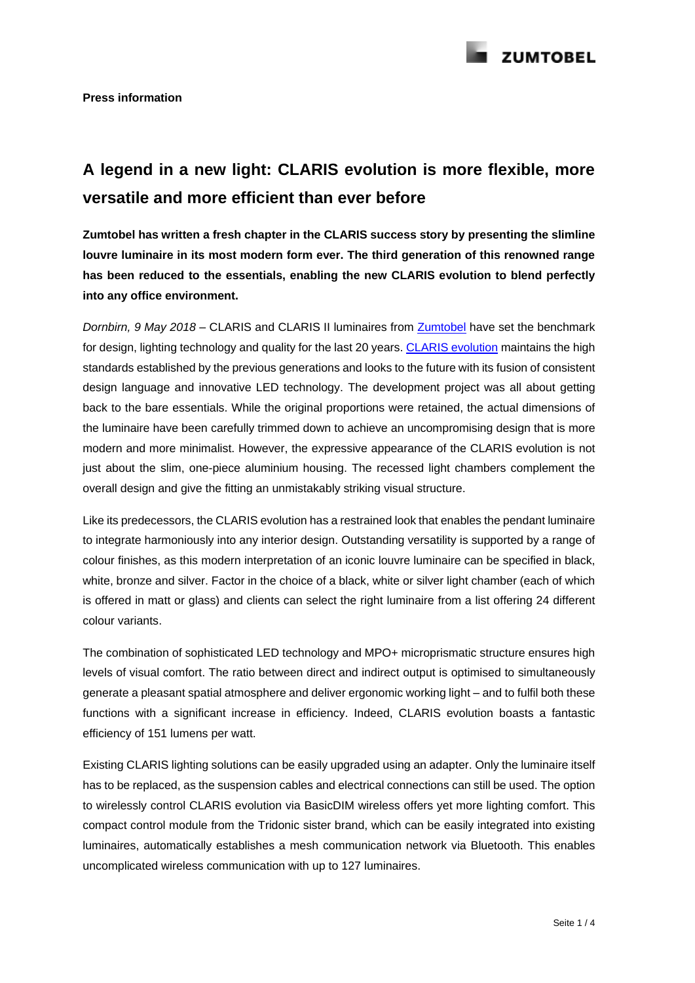

# **A legend in a new light: CLARIS evolution is more flexible, more versatile and more efficient than ever before**

**Zumtobel has written a fresh chapter in the CLARIS success story by presenting the slimline louvre luminaire in its most modern form ever. The third generation of this renowned range has been reduced to the essentials, enabling the new CLARIS evolution to blend perfectly into any office environment.**

*Dornbirn, 9 May 2018 –* CLARIS and CLARIS II luminaires from [Zumtobel](http://www.zumtobel.com/) have set the benchmark for design, lighting technology and quality for the last 20 years. [CLARIS evolution](http://www.zumtobel.com/com-en/products/claris_evo.html) maintains the high standards established by the previous generations and looks to the future with its fusion of consistent design language and innovative LED technology. The development project was all about getting back to the bare essentials. While the original proportions were retained, the actual dimensions of the luminaire have been carefully trimmed down to achieve an uncompromising design that is more modern and more minimalist. However, the expressive appearance of the CLARIS evolution is not just about the slim, one-piece aluminium housing. The recessed light chambers complement the overall design and give the fitting an unmistakably striking visual structure.

Like its predecessors, the CLARIS evolution has a restrained look that enables the pendant luminaire to integrate harmoniously into any interior design. Outstanding versatility is supported by a range of colour finishes, as this modern interpretation of an iconic louvre luminaire can be specified in black, white, bronze and silver. Factor in the choice of a black, white or silver light chamber (each of which is offered in matt or glass) and clients can select the right luminaire from a list offering 24 different colour variants.

The combination of sophisticated LED technology and MPO+ microprismatic structure ensures high levels of visual comfort. The ratio between direct and indirect output is optimised to simultaneously generate a pleasant spatial atmosphere and deliver ergonomic working light – and to fulfil both these functions with a significant increase in efficiency. Indeed, CLARIS evolution boasts a fantastic efficiency of 151 lumens per watt.

Existing CLARIS lighting solutions can be easily upgraded using an adapter. Only the luminaire itself has to be replaced, as the suspension cables and electrical connections can still be used. The option to wirelessly control CLARIS evolution via BasicDIM wireless offers yet more lighting comfort. This compact control module from the Tridonic sister brand, which can be easily integrated into existing luminaires, automatically establishes a mesh communication network via Bluetooth. This enables uncomplicated wireless communication with up to 127 luminaires.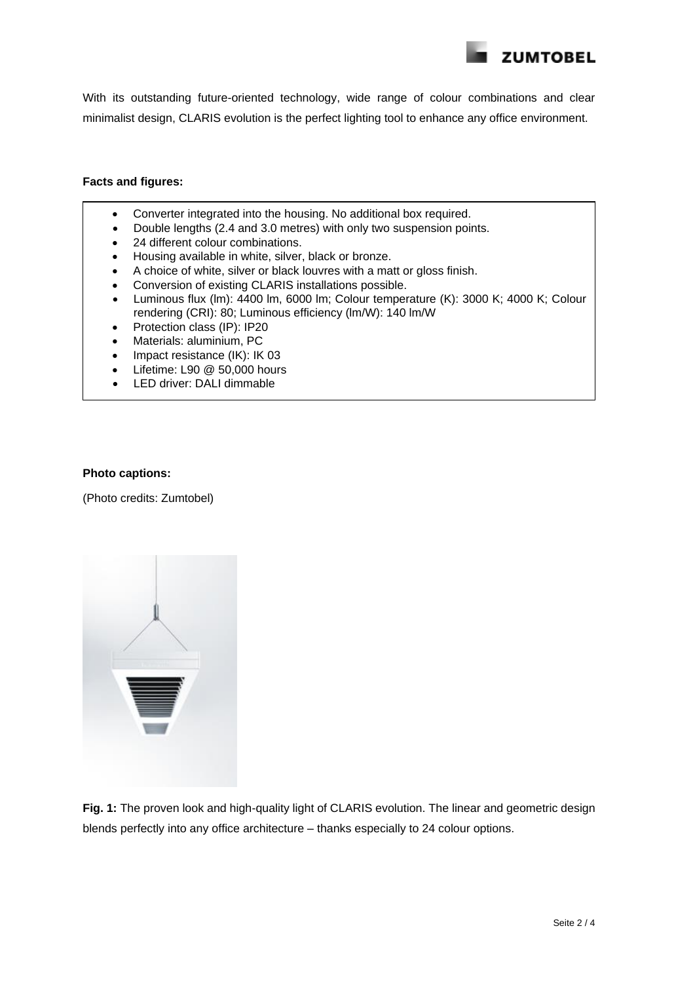

With its outstanding future-oriented technology, wide range of colour combinations and clear minimalist design, CLARIS evolution is the perfect lighting tool to enhance any office environment.

## **Facts and figures:**

- Converter integrated into the housing. No additional box required.
- Double lengths (2.4 and 3.0 metres) with only two suspension points.
- 24 different colour combinations.
- Housing available in white, silver, black or bronze.
- A choice of white, silver or black louvres with a matt or gloss finish.
- Conversion of existing CLARIS installations possible.
- Luminous flux (lm): 4400 lm, 6000 lm; Colour temperature (K): 3000 K; 4000 K; Colour rendering (CRI): 80; Luminous efficiency (lm/W): 140 lm/W
- Protection class (IP): IP20
- Materials: aluminium, PC
- Impact resistance (IK): IK 03
- Lifetime: L90 @ 50,000 hours
- LED driver: DALI dimmable

# **Photo captions:**

(Photo credits: Zumtobel)



**Fig. 1:** The proven look and high-quality light of CLARIS evolution. The linear and geometric design blends perfectly into any office architecture – thanks especially to 24 colour options.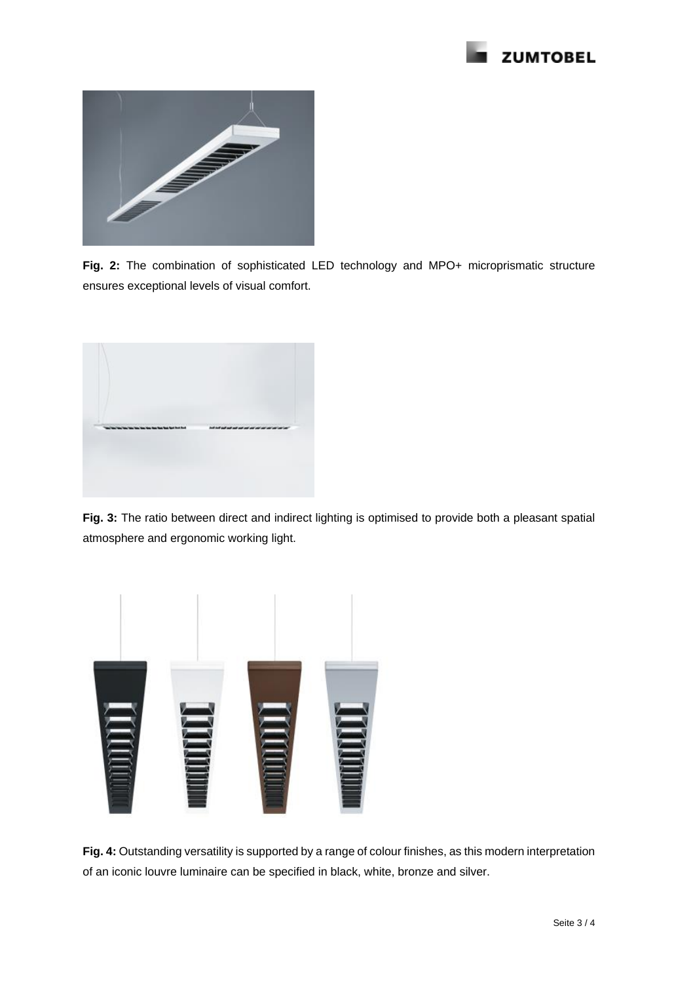



**Fig. 2:** The combination of sophisticated LED technology and MPO+ microprismatic structure ensures exceptional levels of visual comfort.



**Fig. 3:** The ratio between direct and indirect lighting is optimised to provide both a pleasant spatial atmosphere and ergonomic working light.



**Fig. 4:** Outstanding versatility is supported by a range of colour finishes, as this modern interpretation of an iconic louvre luminaire can be specified in black, white, bronze and silver.